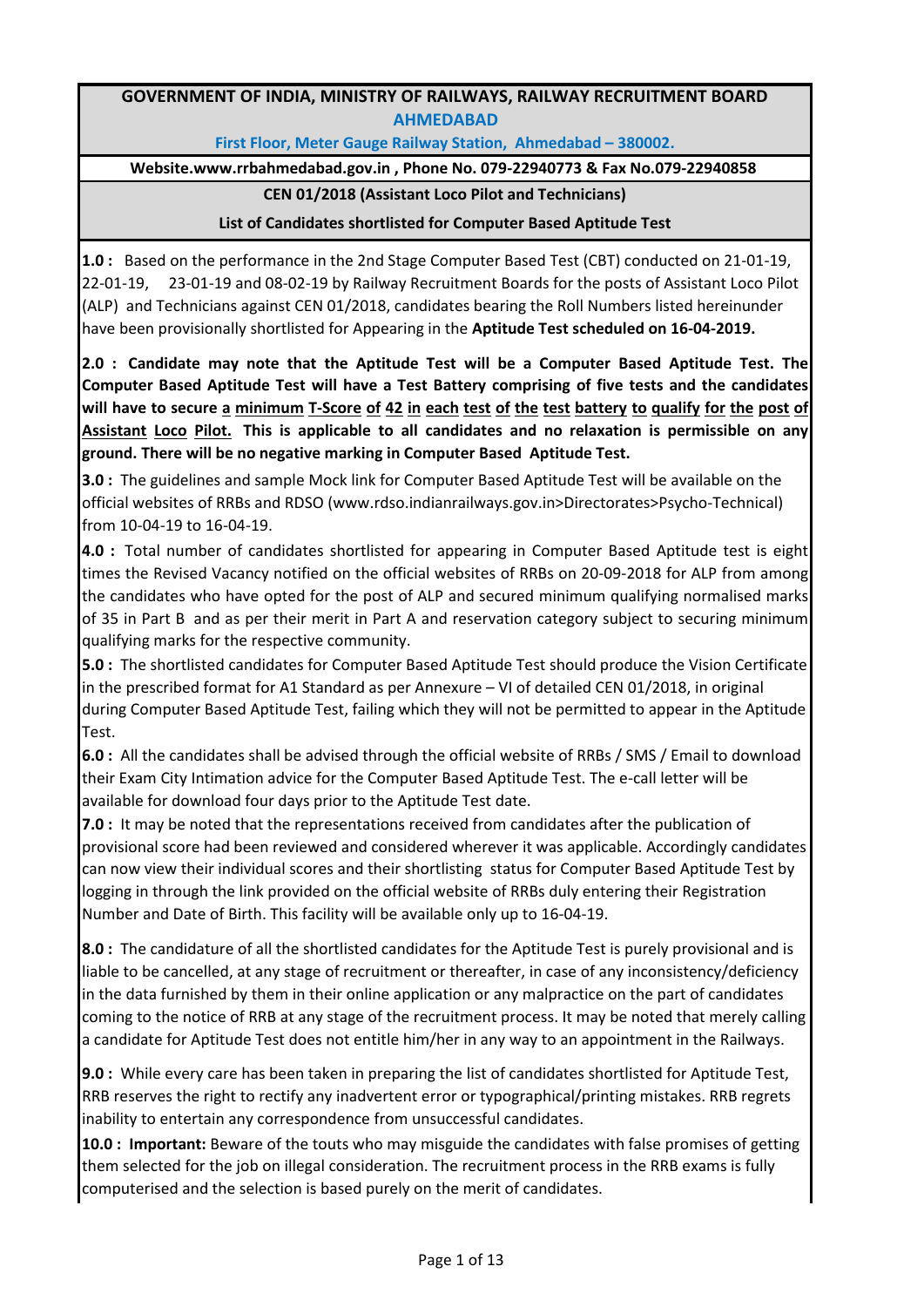## **GOVERNMENT OF INDIA, MINISTRY OF RAILWAYS, RAILWAY RECRUITMENT BOARD AHMEDABAD**

**First Floor, Meter Gauge Railway Station, Ahmedabad – 380002.** 

**Website.www.rrbahmedabad.gov.in , Phone No. 079-22940773 & Fax No.079-22940858** 

## **CEN 01/2018 (Assistant Loco Pilot and Technicians)**

## **List of Candidates shortlisted for Computer Based Aptitude Test**

**1.0 :** Based on the performance in the 2nd Stage Computer Based Test (CBT) conducted on 21-01-19, 22-01-19, 23-01-19 and 08-02-19 by Railway Recruitment Boards for the posts of Assistant Loco Pilot (ALP) and Technicians against CEN 01/2018, candidates bearing the Roll Numbers listed hereinunder have been provisionally shortlisted for Appearing in the **Aptitude Test scheduled on 16-04-2019.**

**2.0 : Candidate may note that the Aptitude Test will be a Computer Based Aptitude Test. The Computer Based Aptitude Test will have a Test Battery comprising of five tests and the candidates** will have to secure a minimum T-Score of 42 in each test of the test battery to qualify for the post of **Assistant Loco Pilot. This is applicable to all candidates and no relaxation is permissible on any ground. There will be no negative marking in Computer Based Aptitude Test.** 

**3.0 :** The guidelines and sample Mock link for Computer Based Aptitude Test will be available on the official websites of RRBs and RDSO (www.rdso.indianrailways.gov.in>Directorates>Psycho-Technical) from 10-04-19 to 16-04-19.

**4.0 :** Total number of candidates shortlisted for appearing in Computer Based Aptitude test is eight times the Revised Vacancy notified on the official websites of RRBs on 20-09-2018 for ALP from among the candidates who have opted for the post of ALP and secured minimum qualifying normalised marks of 35 in Part B and as per their merit in Part A and reservation category subject to securing minimum qualifying marks for the respective community.

**5.0 :** The shortlisted candidates for Computer Based Aptitude Test should produce the Vision Certificate in the prescribed format for A1 Standard as per Annexure – VI of detailed CEN 01/2018, in original during Computer Based Aptitude Test, failing which they will not be permitted to appear in the Aptitude Test.

**6.0 :** All the candidates shall be advised through the official website of RRBs / SMS / Email to download their Exam City Intimation advice for the Computer Based Aptitude Test. The e-call letter will be available for download four days prior to the Aptitude Test date.

**7.0 :** It may be noted that the representations received from candidates after the publication of provisional score had been reviewed and considered wherever it was applicable. Accordingly candidates can now view their individual scores and their shortlisting status for Computer Based Aptitude Test by logging in through the link provided on the official website of RRBs duly entering their Registration Number and Date of Birth. This facility will be available only up to 16-04-19.

**8.0 :** The candidature of all the shortlisted candidates for the Aptitude Test is purely provisional and is liable to be cancelled, at any stage of recruitment or thereafter, in case of any inconsistency/deficiency in the data furnished by them in their online application or any malpractice on the part of candidates coming to the notice of RRB at any stage of the recruitment process. It may be noted that merely calling a candidate for Aptitude Test does not entitle him/her in any way to an appointment in the Railways.

**9.0 :** While every care has been taken in preparing the list of candidates shortlisted for Aptitude Test, RRB reserves the right to rectify any inadvertent error or typographical/printing mistakes. RRB regrets inability to entertain any correspondence from unsuccessful candidates.

**10.0 : Important:** Beware of the touts who may misguide the candidates with false promises of getting them selected for the job on illegal consideration. The recruitment process in the RRB exams is fully computerised and the selection is based purely on the merit of candidates.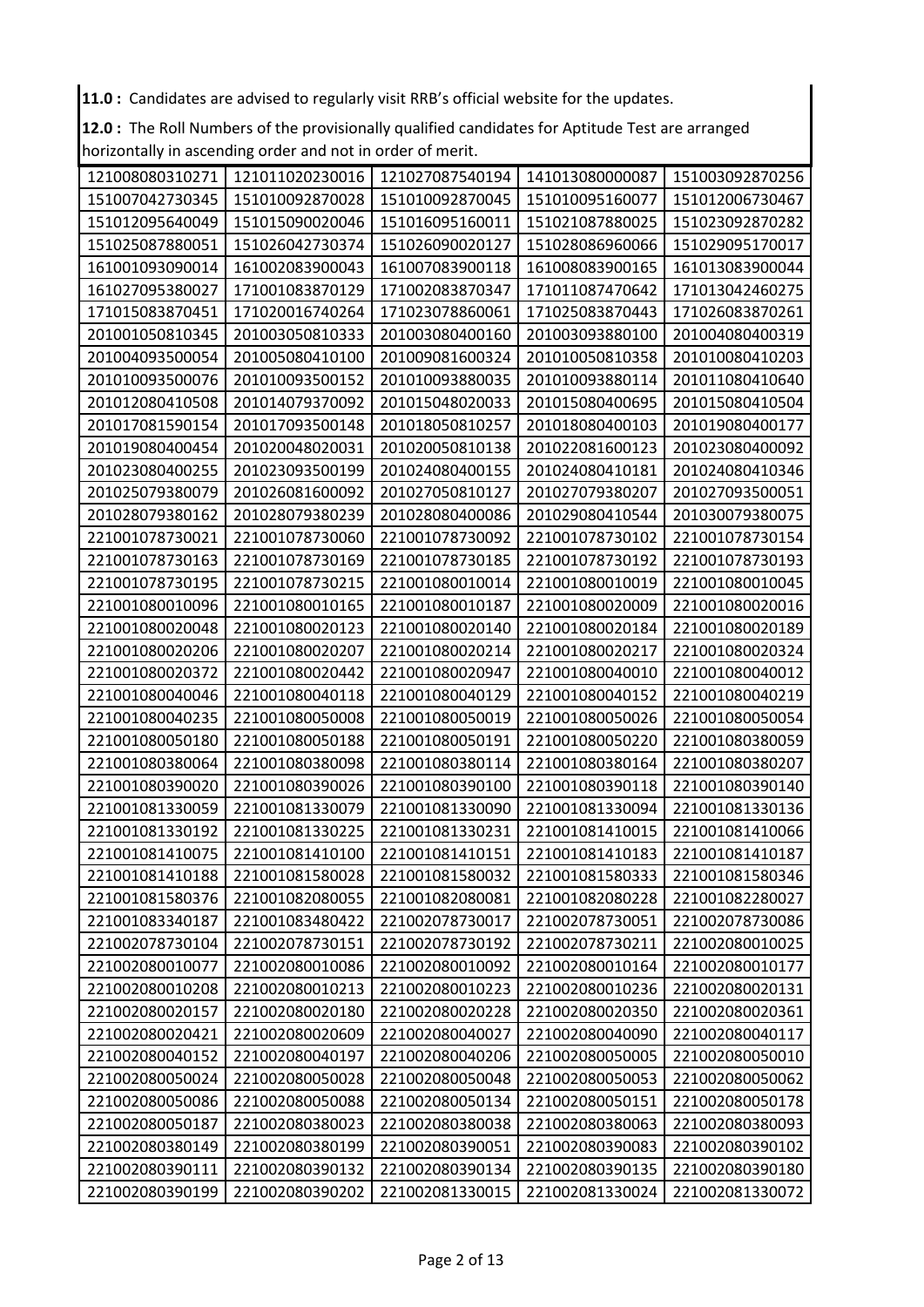11.0 : Candidates are advised to regularly visit RRB's official website for the updates.

12.0 : The Roll Numbers of the provisionally qualified candidates for Aptitude Test are arranged horizontally in ascending order and not in order of merit.

| 121008080310271 | 121011020230016 | 121027087540194 | 141013080000087 | 151003092870256 |
|-----------------|-----------------|-----------------|-----------------|-----------------|
| 151007042730345 | 151010092870028 | 151010092870045 | 151010095160077 | 151012006730467 |
| 151012095640049 | 151015090020046 | 151016095160011 | 151021087880025 | 151023092870282 |
| 151025087880051 | 151026042730374 | 151026090020127 | 151028086960066 | 151029095170017 |
| 161001093090014 | 161002083900043 | 161007083900118 | 161008083900165 | 161013083900044 |
| 161027095380027 | 171001083870129 | 171002083870347 | 171011087470642 | 171013042460275 |
| 171015083870451 | 171020016740264 | 171023078860061 | 171025083870443 | 171026083870261 |
| 201001050810345 | 201003050810333 | 201003080400160 | 201003093880100 | 201004080400319 |
| 201004093500054 | 201005080410100 | 201009081600324 | 201010050810358 | 201010080410203 |
| 201010093500076 | 201010093500152 | 201010093880035 | 201010093880114 | 201011080410640 |
| 201012080410508 | 201014079370092 | 201015048020033 | 201015080400695 | 201015080410504 |
| 201017081590154 | 201017093500148 | 201018050810257 | 201018080400103 | 201019080400177 |
| 201019080400454 | 201020048020031 | 201020050810138 | 201022081600123 | 201023080400092 |
| 201023080400255 | 201023093500199 | 201024080400155 | 201024080410181 | 201024080410346 |
| 201025079380079 | 201026081600092 | 201027050810127 | 201027079380207 | 201027093500051 |
| 201028079380162 | 201028079380239 | 201028080400086 | 201029080410544 | 201030079380075 |
| 221001078730021 | 221001078730060 | 221001078730092 | 221001078730102 | 221001078730154 |
| 221001078730163 | 221001078730169 | 221001078730185 | 221001078730192 | 221001078730193 |
| 221001078730195 | 221001078730215 | 221001080010014 | 221001080010019 | 221001080010045 |
| 221001080010096 | 221001080010165 | 221001080010187 | 221001080020009 | 221001080020016 |
| 221001080020048 | 221001080020123 | 221001080020140 | 221001080020184 | 221001080020189 |
| 221001080020206 | 221001080020207 | 221001080020214 | 221001080020217 | 221001080020324 |
| 221001080020372 | 221001080020442 | 221001080020947 | 221001080040010 | 221001080040012 |
| 221001080040046 | 221001080040118 | 221001080040129 | 221001080040152 | 221001080040219 |
| 221001080040235 | 221001080050008 | 221001080050019 | 221001080050026 | 221001080050054 |
| 221001080050180 | 221001080050188 | 221001080050191 | 221001080050220 | 221001080380059 |
| 221001080380064 | 221001080380098 | 221001080380114 | 221001080380164 | 221001080380207 |
| 221001080390020 | 221001080390026 | 221001080390100 | 221001080390118 | 221001080390140 |
| 221001081330059 | 221001081330079 | 221001081330090 | 221001081330094 | 221001081330136 |
| 221001081330192 | 221001081330225 | 221001081330231 | 221001081410015 | 221001081410066 |
| 221001081410075 | 221001081410100 | 221001081410151 | 221001081410183 | 221001081410187 |
| 221001081410188 | 221001081580028 | 221001081580032 | 221001081580333 | 221001081580346 |
| 221001081580376 | 221001082080055 | 221001082080081 | 221001082080228 | 221001082280027 |
| 221001083340187 | 221001083480422 | 221002078730017 | 221002078730051 | 221002078730086 |
| 221002078730104 | 221002078730151 | 221002078730192 | 221002078730211 | 221002080010025 |
| 221002080010077 | 221002080010086 | 221002080010092 | 221002080010164 | 221002080010177 |
| 221002080010208 | 221002080010213 | 221002080010223 | 221002080010236 | 221002080020131 |
| 221002080020157 | 221002080020180 | 221002080020228 | 221002080020350 | 221002080020361 |
| 221002080020421 | 221002080020609 | 221002080040027 | 221002080040090 | 221002080040117 |
| 221002080040152 | 221002080040197 | 221002080040206 | 221002080050005 | 221002080050010 |
| 221002080050024 | 221002080050028 | 221002080050048 | 221002080050053 | 221002080050062 |
| 221002080050086 | 221002080050088 | 221002080050134 | 221002080050151 | 221002080050178 |
| 221002080050187 | 221002080380023 | 221002080380038 | 221002080380063 | 221002080380093 |
| 221002080380149 | 221002080380199 | 221002080390051 | 221002080390083 | 221002080390102 |
| 221002080390111 | 221002080390132 | 221002080390134 | 221002080390135 | 221002080390180 |
| 221002080390199 | 221002080390202 | 221002081330015 | 221002081330024 | 221002081330072 |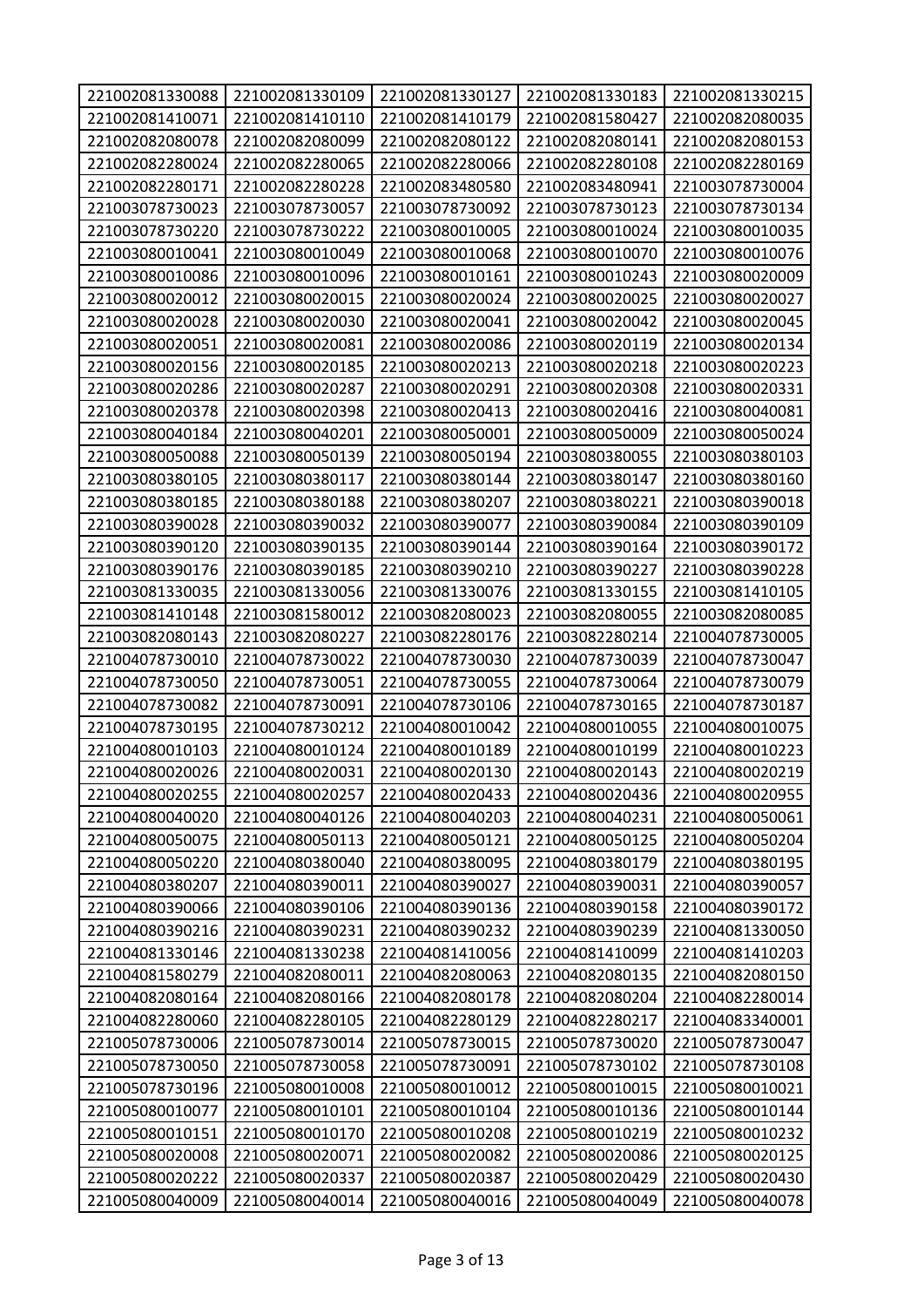| 221002081330088 | 221002081330109 | 221002081330127 | 221002081330183 | 221002081330215 |
|-----------------|-----------------|-----------------|-----------------|-----------------|
| 221002081410071 | 221002081410110 | 221002081410179 | 221002081580427 | 221002082080035 |
| 221002082080078 | 221002082080099 | 221002082080122 | 221002082080141 | 221002082080153 |
| 221002082280024 | 221002082280065 | 221002082280066 | 221002082280108 | 221002082280169 |
| 221002082280171 | 221002082280228 | 221002083480580 | 221002083480941 | 221003078730004 |
| 221003078730023 | 221003078730057 | 221003078730092 | 221003078730123 | 221003078730134 |
| 221003078730220 | 221003078730222 | 221003080010005 | 221003080010024 | 221003080010035 |
| 221003080010041 | 221003080010049 | 221003080010068 | 221003080010070 | 221003080010076 |
| 221003080010086 | 221003080010096 | 221003080010161 | 221003080010243 | 221003080020009 |
| 221003080020012 | 221003080020015 | 221003080020024 | 221003080020025 | 221003080020027 |
| 221003080020028 | 221003080020030 | 221003080020041 | 221003080020042 | 221003080020045 |
| 221003080020051 | 221003080020081 | 221003080020086 | 221003080020119 | 221003080020134 |
| 221003080020156 | 221003080020185 | 221003080020213 | 221003080020218 | 221003080020223 |
| 221003080020286 | 221003080020287 | 221003080020291 | 221003080020308 | 221003080020331 |
| 221003080020378 | 221003080020398 | 221003080020413 | 221003080020416 | 221003080040081 |
| 221003080040184 | 221003080040201 | 221003080050001 | 221003080050009 | 221003080050024 |
| 221003080050088 | 221003080050139 | 221003080050194 | 221003080380055 | 221003080380103 |
| 221003080380105 | 221003080380117 | 221003080380144 | 221003080380147 | 221003080380160 |
| 221003080380185 | 221003080380188 | 221003080380207 | 221003080380221 | 221003080390018 |
| 221003080390028 | 221003080390032 | 221003080390077 | 221003080390084 | 221003080390109 |
| 221003080390120 | 221003080390135 | 221003080390144 | 221003080390164 | 221003080390172 |
| 221003080390176 | 221003080390185 | 221003080390210 | 221003080390227 | 221003080390228 |
| 221003081330035 | 221003081330056 | 221003081330076 | 221003081330155 | 221003081410105 |
| 221003081410148 | 221003081580012 | 221003082080023 | 221003082080055 | 221003082080085 |
| 221003082080143 | 221003082080227 | 221003082280176 | 221003082280214 | 221004078730005 |
| 221004078730010 | 221004078730022 | 221004078730030 | 221004078730039 | 221004078730047 |
| 221004078730050 | 221004078730051 | 221004078730055 | 221004078730064 | 221004078730079 |
| 221004078730082 | 221004078730091 | 221004078730106 | 221004078730165 | 221004078730187 |
| 221004078730195 | 221004078730212 | 221004080010042 | 221004080010055 | 221004080010075 |
| 221004080010103 | 221004080010124 | 221004080010189 | 221004080010199 | 221004080010223 |
| 221004080020026 | 221004080020031 | 221004080020130 | 221004080020143 | 221004080020219 |
| 221004080020255 | 221004080020257 | 221004080020433 | 221004080020436 | 221004080020955 |
| 221004080040020 | 221004080040126 | 221004080040203 | 221004080040231 | 221004080050061 |
| 221004080050075 | 221004080050113 | 221004080050121 | 221004080050125 | 221004080050204 |
| 221004080050220 | 221004080380040 | 221004080380095 | 221004080380179 | 221004080380195 |
| 221004080380207 | 221004080390011 | 221004080390027 | 221004080390031 | 221004080390057 |
| 221004080390066 | 221004080390106 | 221004080390136 | 221004080390158 | 221004080390172 |
| 221004080390216 | 221004080390231 | 221004080390232 | 221004080390239 | 221004081330050 |
| 221004081330146 | 221004081330238 | 221004081410056 | 221004081410099 | 221004081410203 |
| 221004081580279 | 221004082080011 | 221004082080063 | 221004082080135 | 221004082080150 |
| 221004082080164 | 221004082080166 | 221004082080178 | 221004082080204 | 221004082280014 |
| 221004082280060 | 221004082280105 | 221004082280129 | 221004082280217 | 221004083340001 |
| 221005078730006 | 221005078730014 | 221005078730015 | 221005078730020 | 221005078730047 |
| 221005078730050 | 221005078730058 | 221005078730091 | 221005078730102 | 221005078730108 |
| 221005078730196 | 221005080010008 | 221005080010012 | 221005080010015 | 221005080010021 |
| 221005080010077 | 221005080010101 | 221005080010104 | 221005080010136 | 221005080010144 |
| 221005080010151 | 221005080010170 | 221005080010208 | 221005080010219 | 221005080010232 |
| 221005080020008 | 221005080020071 | 221005080020082 | 221005080020086 | 221005080020125 |
| 221005080020222 | 221005080020337 | 221005080020387 | 221005080020429 | 221005080020430 |
| 221005080040009 | 221005080040014 | 221005080040016 | 221005080040049 | 221005080040078 |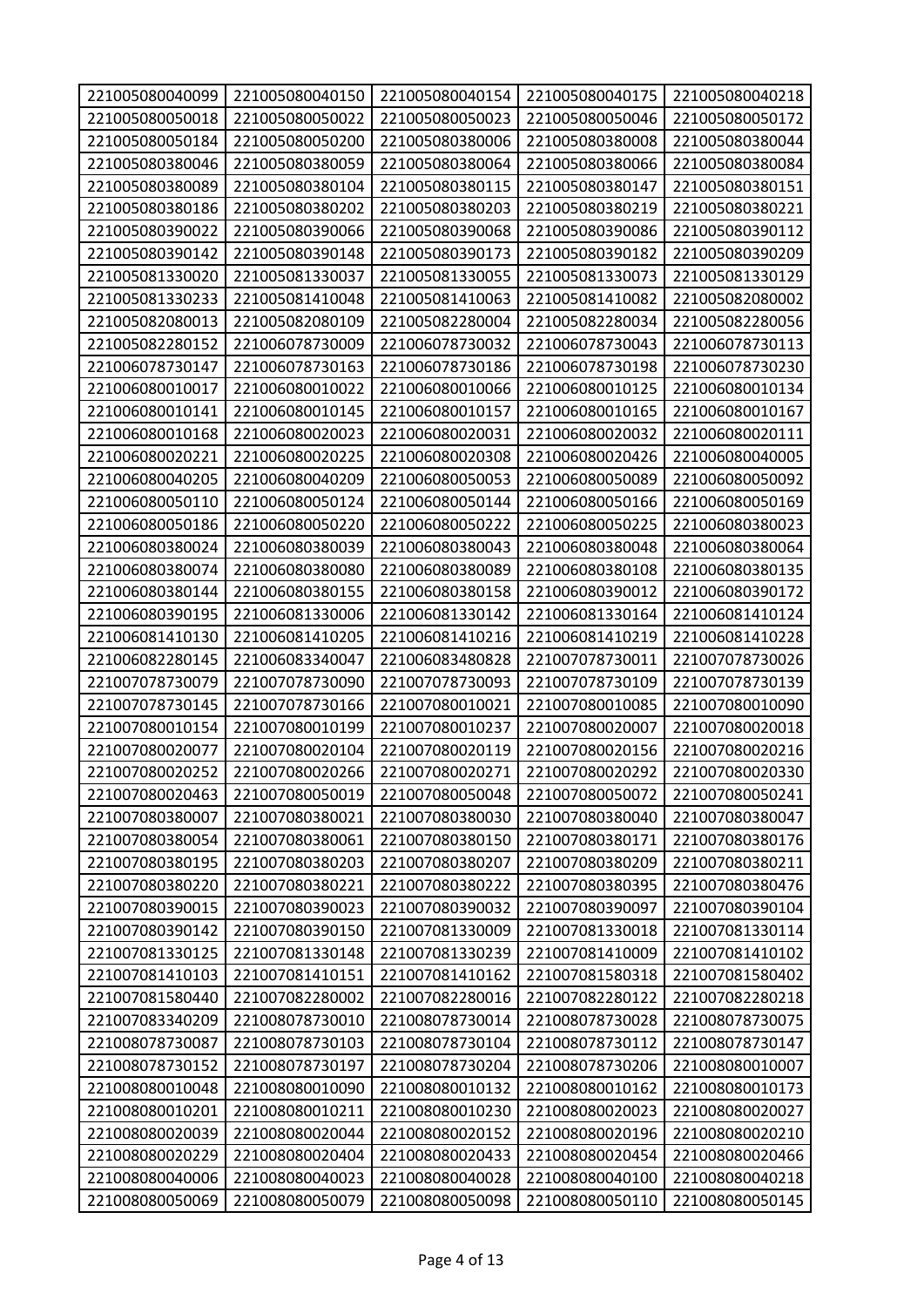| 221005080040099 | 221005080040150 | 221005080040154 | 221005080040175 | 221005080040218 |
|-----------------|-----------------|-----------------|-----------------|-----------------|
| 221005080050018 | 221005080050022 | 221005080050023 | 221005080050046 | 221005080050172 |
| 221005080050184 | 221005080050200 | 221005080380006 | 221005080380008 | 221005080380044 |
| 221005080380046 | 221005080380059 | 221005080380064 | 221005080380066 | 221005080380084 |
| 221005080380089 | 221005080380104 | 221005080380115 | 221005080380147 | 221005080380151 |
| 221005080380186 | 221005080380202 | 221005080380203 | 221005080380219 | 221005080380221 |
| 221005080390022 | 221005080390066 | 221005080390068 | 221005080390086 | 221005080390112 |
| 221005080390142 | 221005080390148 | 221005080390173 | 221005080390182 | 221005080390209 |
| 221005081330020 | 221005081330037 | 221005081330055 | 221005081330073 | 221005081330129 |
| 221005081330233 | 221005081410048 | 221005081410063 | 221005081410082 | 221005082080002 |
| 221005082080013 | 221005082080109 | 221005082280004 | 221005082280034 | 221005082280056 |
| 221005082280152 | 221006078730009 | 221006078730032 | 221006078730043 | 221006078730113 |
| 221006078730147 | 221006078730163 | 221006078730186 | 221006078730198 | 221006078730230 |
| 221006080010017 | 221006080010022 | 221006080010066 | 221006080010125 | 221006080010134 |
| 221006080010141 | 221006080010145 | 221006080010157 | 221006080010165 | 221006080010167 |
| 221006080010168 | 221006080020023 | 221006080020031 | 221006080020032 | 221006080020111 |
| 221006080020221 | 221006080020225 | 221006080020308 | 221006080020426 | 221006080040005 |
| 221006080040205 | 221006080040209 | 221006080050053 | 221006080050089 | 221006080050092 |
| 221006080050110 | 221006080050124 | 221006080050144 | 221006080050166 | 221006080050169 |
| 221006080050186 | 221006080050220 | 221006080050222 | 221006080050225 | 221006080380023 |
| 221006080380024 | 221006080380039 | 221006080380043 | 221006080380048 | 221006080380064 |
| 221006080380074 | 221006080380080 | 221006080380089 | 221006080380108 | 221006080380135 |
| 221006080380144 | 221006080380155 | 221006080380158 | 221006080390012 | 221006080390172 |
| 221006080390195 | 221006081330006 | 221006081330142 | 221006081330164 | 221006081410124 |
| 221006081410130 | 221006081410205 | 221006081410216 | 221006081410219 | 221006081410228 |
| 221006082280145 | 221006083340047 | 221006083480828 | 221007078730011 | 221007078730026 |
| 221007078730079 | 221007078730090 | 221007078730093 | 221007078730109 | 221007078730139 |
| 221007078730145 | 221007078730166 | 221007080010021 | 221007080010085 | 221007080010090 |
| 221007080010154 | 221007080010199 | 221007080010237 | 221007080020007 | 221007080020018 |
| 221007080020077 | 221007080020104 | 221007080020119 | 221007080020156 | 221007080020216 |
| 221007080020252 | 221007080020266 | 221007080020271 | 221007080020292 | 221007080020330 |
| 221007080020463 | 221007080050019 | 221007080050048 | 221007080050072 | 221007080050241 |
| 221007080380007 | 221007080380021 | 221007080380030 | 221007080380040 | 221007080380047 |
| 221007080380054 | 221007080380061 | 221007080380150 | 221007080380171 | 221007080380176 |
| 221007080380195 | 221007080380203 | 221007080380207 | 221007080380209 | 221007080380211 |
| 221007080380220 | 221007080380221 | 221007080380222 | 221007080380395 | 221007080380476 |
| 221007080390015 | 221007080390023 | 221007080390032 | 221007080390097 | 221007080390104 |
| 221007080390142 | 221007080390150 | 221007081330009 | 221007081330018 | 221007081330114 |
| 221007081330125 | 221007081330148 | 221007081330239 | 221007081410009 | 221007081410102 |
| 221007081410103 | 221007081410151 | 221007081410162 | 221007081580318 | 221007081580402 |
| 221007081580440 | 221007082280002 | 221007082280016 | 221007082280122 | 221007082280218 |
| 221007083340209 | 221008078730010 | 221008078730014 | 221008078730028 | 221008078730075 |
| 221008078730087 | 221008078730103 | 221008078730104 | 221008078730112 | 221008078730147 |
| 221008078730152 | 221008078730197 | 221008078730204 | 221008078730206 | 221008080010007 |
| 221008080010048 | 221008080010090 | 221008080010132 | 221008080010162 | 221008080010173 |
| 221008080010201 | 221008080010211 | 221008080010230 | 221008080020023 | 221008080020027 |
| 221008080020039 | 221008080020044 | 221008080020152 | 221008080020196 | 221008080020210 |
| 221008080020229 | 221008080020404 | 221008080020433 | 221008080020454 | 221008080020466 |
| 221008080040006 | 221008080040023 | 221008080040028 | 221008080040100 | 221008080040218 |
| 221008080050069 | 221008080050079 | 221008080050098 | 221008080050110 | 221008080050145 |
|                 |                 |                 |                 |                 |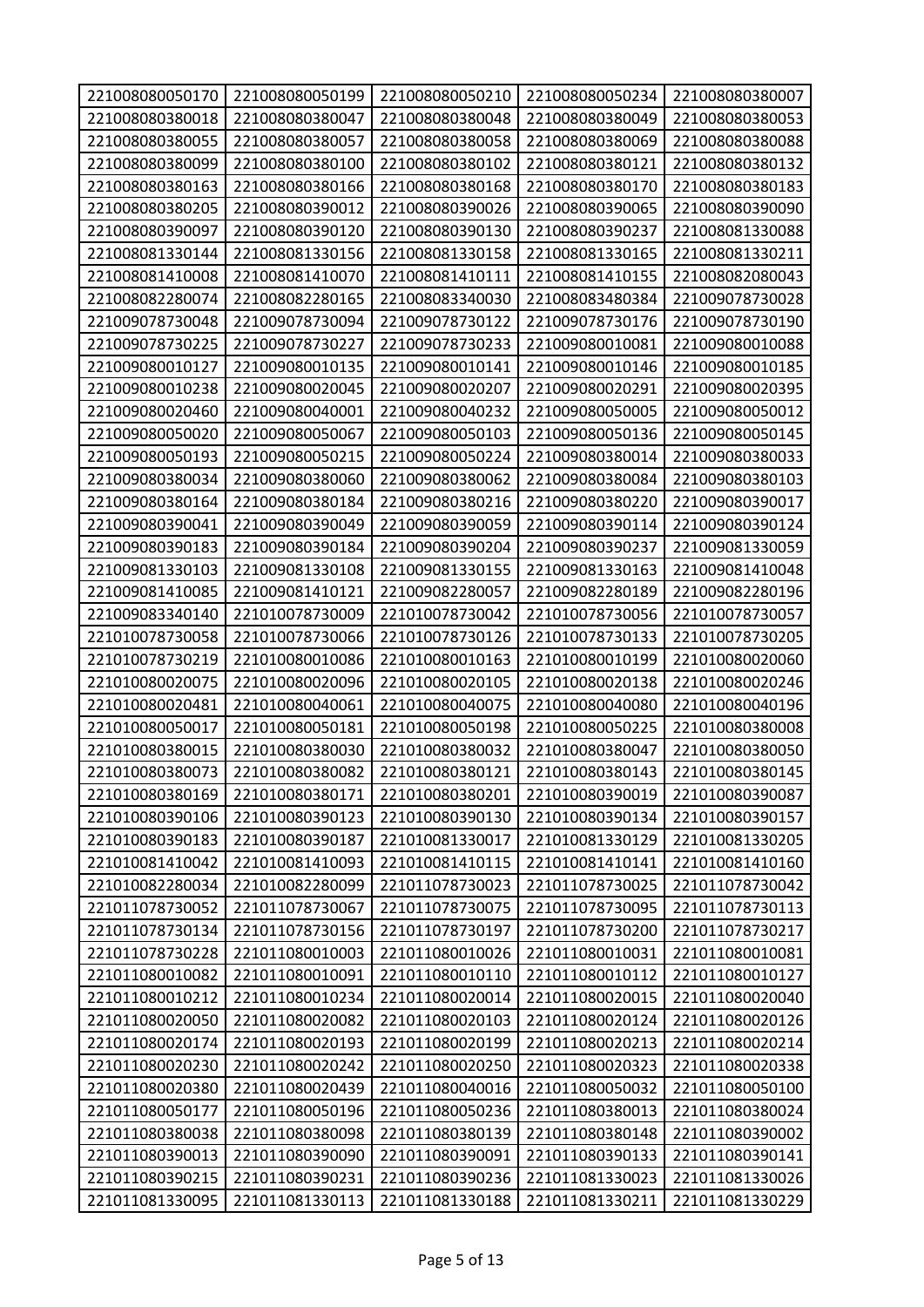| 221008080050170 | 221008080050199 | 221008080050210 | 221008080050234 | 221008080380007 |
|-----------------|-----------------|-----------------|-----------------|-----------------|
| 221008080380018 | 221008080380047 | 221008080380048 | 221008080380049 | 221008080380053 |
| 221008080380055 | 221008080380057 | 221008080380058 | 221008080380069 | 221008080380088 |
| 221008080380099 | 221008080380100 | 221008080380102 | 221008080380121 | 221008080380132 |
| 221008080380163 | 221008080380166 | 221008080380168 | 221008080380170 | 221008080380183 |
| 221008080380205 | 221008080390012 | 221008080390026 | 221008080390065 | 221008080390090 |
| 221008080390097 | 221008080390120 | 221008080390130 | 221008080390237 | 221008081330088 |
| 221008081330144 | 221008081330156 | 221008081330158 | 221008081330165 | 221008081330211 |
| 221008081410008 | 221008081410070 | 221008081410111 | 221008081410155 | 221008082080043 |
| 221008082280074 | 221008082280165 | 221008083340030 | 221008083480384 | 221009078730028 |
| 221009078730048 | 221009078730094 | 221009078730122 | 221009078730176 | 221009078730190 |
| 221009078730225 | 221009078730227 | 221009078730233 | 221009080010081 | 221009080010088 |
| 221009080010127 | 221009080010135 | 221009080010141 | 221009080010146 | 221009080010185 |
| 221009080010238 | 221009080020045 | 221009080020207 | 221009080020291 | 221009080020395 |
| 221009080020460 | 221009080040001 | 221009080040232 | 221009080050005 | 221009080050012 |
| 221009080050020 | 221009080050067 | 221009080050103 | 221009080050136 | 221009080050145 |
| 221009080050193 | 221009080050215 | 221009080050224 | 221009080380014 | 221009080380033 |
| 221009080380034 | 221009080380060 | 221009080380062 | 221009080380084 | 221009080380103 |
| 221009080380164 | 221009080380184 | 221009080380216 | 221009080380220 | 221009080390017 |
| 221009080390041 | 221009080390049 | 221009080390059 | 221009080390114 | 221009080390124 |
| 221009080390183 | 221009080390184 | 221009080390204 | 221009080390237 | 221009081330059 |
| 221009081330103 | 221009081330108 | 221009081330155 | 221009081330163 | 221009081410048 |
| 221009081410085 | 221009081410121 | 221009082280057 | 221009082280189 | 221009082280196 |
| 221009083340140 | 221010078730009 | 221010078730042 | 221010078730056 | 221010078730057 |
| 221010078730058 | 221010078730066 | 221010078730126 | 221010078730133 | 221010078730205 |
| 221010078730219 | 221010080010086 | 221010080010163 | 221010080010199 | 221010080020060 |
| 221010080020075 | 221010080020096 | 221010080020105 | 221010080020138 | 221010080020246 |
| 221010080020481 | 221010080040061 | 221010080040075 | 221010080040080 | 221010080040196 |
| 221010080050017 | 221010080050181 | 221010080050198 | 221010080050225 | 221010080380008 |
| 221010080380015 | 221010080380030 | 221010080380032 | 221010080380047 | 221010080380050 |
| 221010080380073 | 221010080380082 | 221010080380121 | 221010080380143 | 221010080380145 |
| 221010080380169 | 221010080380171 | 221010080380201 | 221010080390019 | 221010080390087 |
| 221010080390106 | 221010080390123 | 221010080390130 | 221010080390134 | 221010080390157 |
| 221010080390183 | 221010080390187 | 221010081330017 | 221010081330129 | 221010081330205 |
| 221010081410042 | 221010081410093 | 221010081410115 | 221010081410141 | 221010081410160 |
| 221010082280034 | 221010082280099 | 221011078730023 | 221011078730025 | 221011078730042 |
| 221011078730052 | 221011078730067 | 221011078730075 | 221011078730095 | 221011078730113 |
| 221011078730134 | 221011078730156 | 221011078730197 | 221011078730200 | 221011078730217 |
| 221011078730228 | 221011080010003 | 221011080010026 | 221011080010031 | 221011080010081 |
| 221011080010082 | 221011080010091 | 221011080010110 | 221011080010112 | 221011080010127 |
| 221011080010212 | 221011080010234 | 221011080020014 | 221011080020015 | 221011080020040 |
| 221011080020050 | 221011080020082 | 221011080020103 | 221011080020124 | 221011080020126 |
| 221011080020174 | 221011080020193 | 221011080020199 | 221011080020213 | 221011080020214 |
| 221011080020230 | 221011080020242 | 221011080020250 | 221011080020323 | 221011080020338 |
| 221011080020380 | 221011080020439 | 221011080040016 | 221011080050032 | 221011080050100 |
| 221011080050177 | 221011080050196 | 221011080050236 | 221011080380013 | 221011080380024 |
| 221011080380038 | 221011080380098 | 221011080380139 | 221011080380148 | 221011080390002 |
| 221011080390013 | 221011080390090 | 221011080390091 | 221011080390133 | 221011080390141 |
| 221011080390215 | 221011080390231 | 221011080390236 | 221011081330023 | 221011081330026 |
| 221011081330095 | 221011081330113 | 221011081330188 | 221011081330211 | 221011081330229 |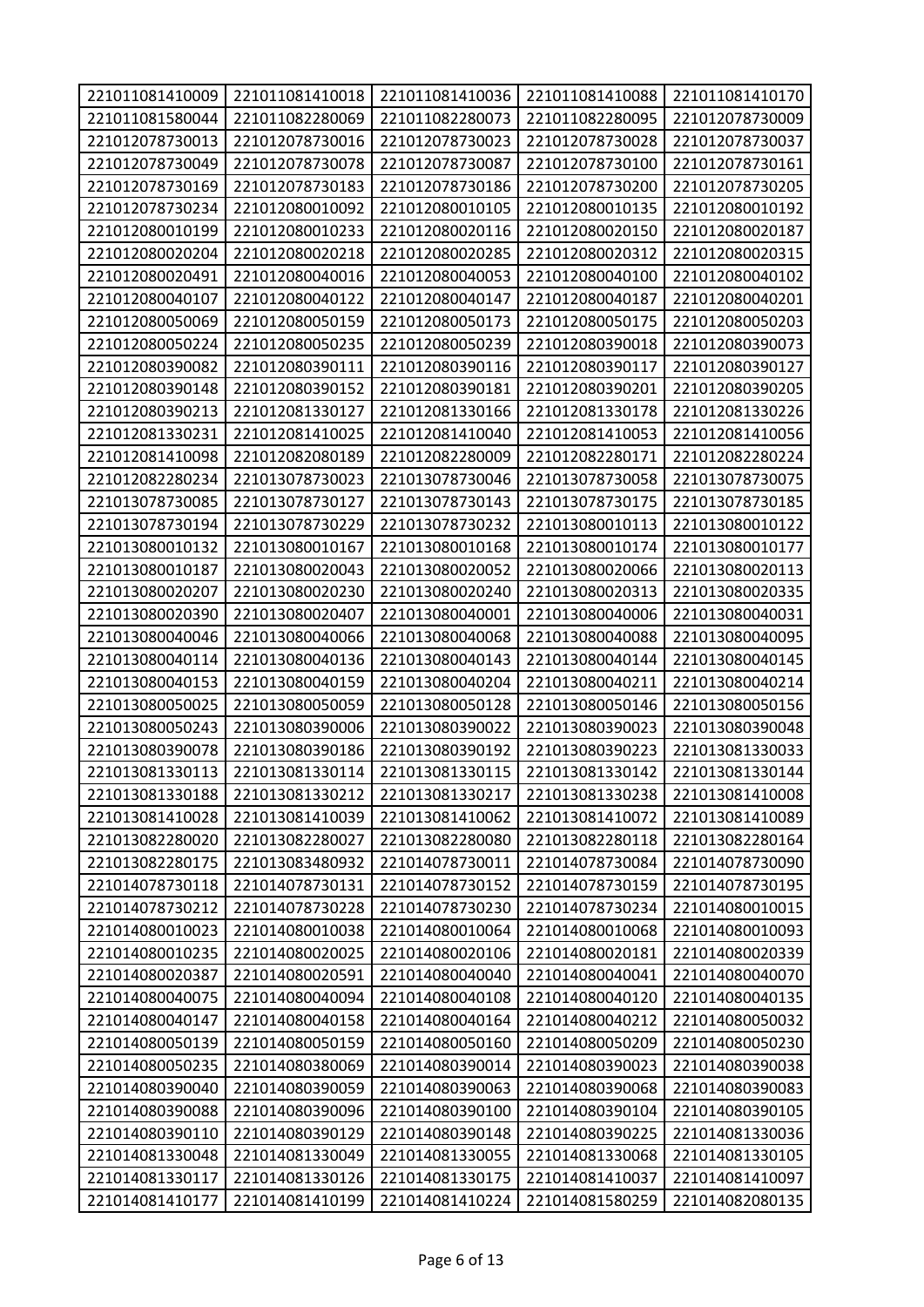| 221011081410009 | 221011081410018 | 221011081410036 | 221011081410088 | 221011081410170 |
|-----------------|-----------------|-----------------|-----------------|-----------------|
| 221011081580044 | 221011082280069 | 221011082280073 | 221011082280095 | 221012078730009 |
| 221012078730013 | 221012078730016 | 221012078730023 | 221012078730028 | 221012078730037 |
| 221012078730049 | 221012078730078 | 221012078730087 | 221012078730100 | 221012078730161 |
| 221012078730169 | 221012078730183 | 221012078730186 | 221012078730200 | 221012078730205 |
| 221012078730234 | 221012080010092 | 221012080010105 | 221012080010135 | 221012080010192 |
| 221012080010199 | 221012080010233 | 221012080020116 | 221012080020150 | 221012080020187 |
| 221012080020204 | 221012080020218 | 221012080020285 | 221012080020312 | 221012080020315 |
| 221012080020491 | 221012080040016 | 221012080040053 | 221012080040100 | 221012080040102 |
| 221012080040107 | 221012080040122 | 221012080040147 | 221012080040187 | 221012080040201 |
| 221012080050069 | 221012080050159 | 221012080050173 | 221012080050175 | 221012080050203 |
| 221012080050224 | 221012080050235 | 221012080050239 | 221012080390018 | 221012080390073 |
| 221012080390082 | 221012080390111 | 221012080390116 | 221012080390117 | 221012080390127 |
| 221012080390148 | 221012080390152 | 221012080390181 | 221012080390201 | 221012080390205 |
| 221012080390213 | 221012081330127 | 221012081330166 | 221012081330178 | 221012081330226 |
| 221012081330231 | 221012081410025 | 221012081410040 | 221012081410053 | 221012081410056 |
| 221012081410098 | 221012082080189 | 221012082280009 | 221012082280171 | 221012082280224 |
| 221012082280234 | 221013078730023 | 221013078730046 | 221013078730058 | 221013078730075 |
| 221013078730085 | 221013078730127 | 221013078730143 | 221013078730175 | 221013078730185 |
| 221013078730194 | 221013078730229 | 221013078730232 | 221013080010113 | 221013080010122 |
| 221013080010132 | 221013080010167 | 221013080010168 | 221013080010174 | 221013080010177 |
| 221013080010187 | 221013080020043 | 221013080020052 | 221013080020066 | 221013080020113 |
| 221013080020207 | 221013080020230 | 221013080020240 | 221013080020313 | 221013080020335 |
| 221013080020390 | 221013080020407 | 221013080040001 | 221013080040006 | 221013080040031 |
| 221013080040046 | 221013080040066 | 221013080040068 | 221013080040088 | 221013080040095 |
| 221013080040114 | 221013080040136 | 221013080040143 | 221013080040144 | 221013080040145 |
| 221013080040153 | 221013080040159 | 221013080040204 | 221013080040211 | 221013080040214 |
| 221013080050025 | 221013080050059 | 221013080050128 | 221013080050146 | 221013080050156 |
| 221013080050243 | 221013080390006 | 221013080390022 | 221013080390023 | 221013080390048 |
| 221013080390078 | 221013080390186 | 221013080390192 | 221013080390223 | 221013081330033 |
| 221013081330113 | 221013081330114 | 221013081330115 | 221013081330142 | 221013081330144 |
| 221013081330188 | 221013081330212 | 221013081330217 | 221013081330238 | 221013081410008 |
| 221013081410028 | 221013081410039 | 221013081410062 | 221013081410072 | 221013081410089 |
| 221013082280020 | 221013082280027 | 221013082280080 | 221013082280118 | 221013082280164 |
| 221013082280175 | 221013083480932 | 221014078730011 | 221014078730084 | 221014078730090 |
| 221014078730118 | 221014078730131 | 221014078730152 | 221014078730159 | 221014078730195 |
| 221014078730212 | 221014078730228 | 221014078730230 | 221014078730234 | 221014080010015 |
| 221014080010023 | 221014080010038 | 221014080010064 | 221014080010068 | 221014080010093 |
| 221014080010235 | 221014080020025 | 221014080020106 | 221014080020181 | 221014080020339 |
| 221014080020387 | 221014080020591 | 221014080040040 | 221014080040041 | 221014080040070 |
| 221014080040075 | 221014080040094 | 221014080040108 | 221014080040120 | 221014080040135 |
| 221014080040147 | 221014080040158 | 221014080040164 | 221014080040212 | 221014080050032 |
| 221014080050139 | 221014080050159 | 221014080050160 | 221014080050209 | 221014080050230 |
| 221014080050235 | 221014080380069 | 221014080390014 | 221014080390023 | 221014080390038 |
| 221014080390040 | 221014080390059 | 221014080390063 | 221014080390068 | 221014080390083 |
| 221014080390088 | 221014080390096 | 221014080390100 | 221014080390104 | 221014080390105 |
| 221014080390110 | 221014080390129 | 221014080390148 | 221014080390225 | 221014081330036 |
| 221014081330048 | 221014081330049 | 221014081330055 | 221014081330068 | 221014081330105 |
| 221014081330117 | 221014081330126 | 221014081330175 | 221014081410037 | 221014081410097 |
| 221014081410177 | 221014081410199 | 221014081410224 | 221014081580259 | 221014082080135 |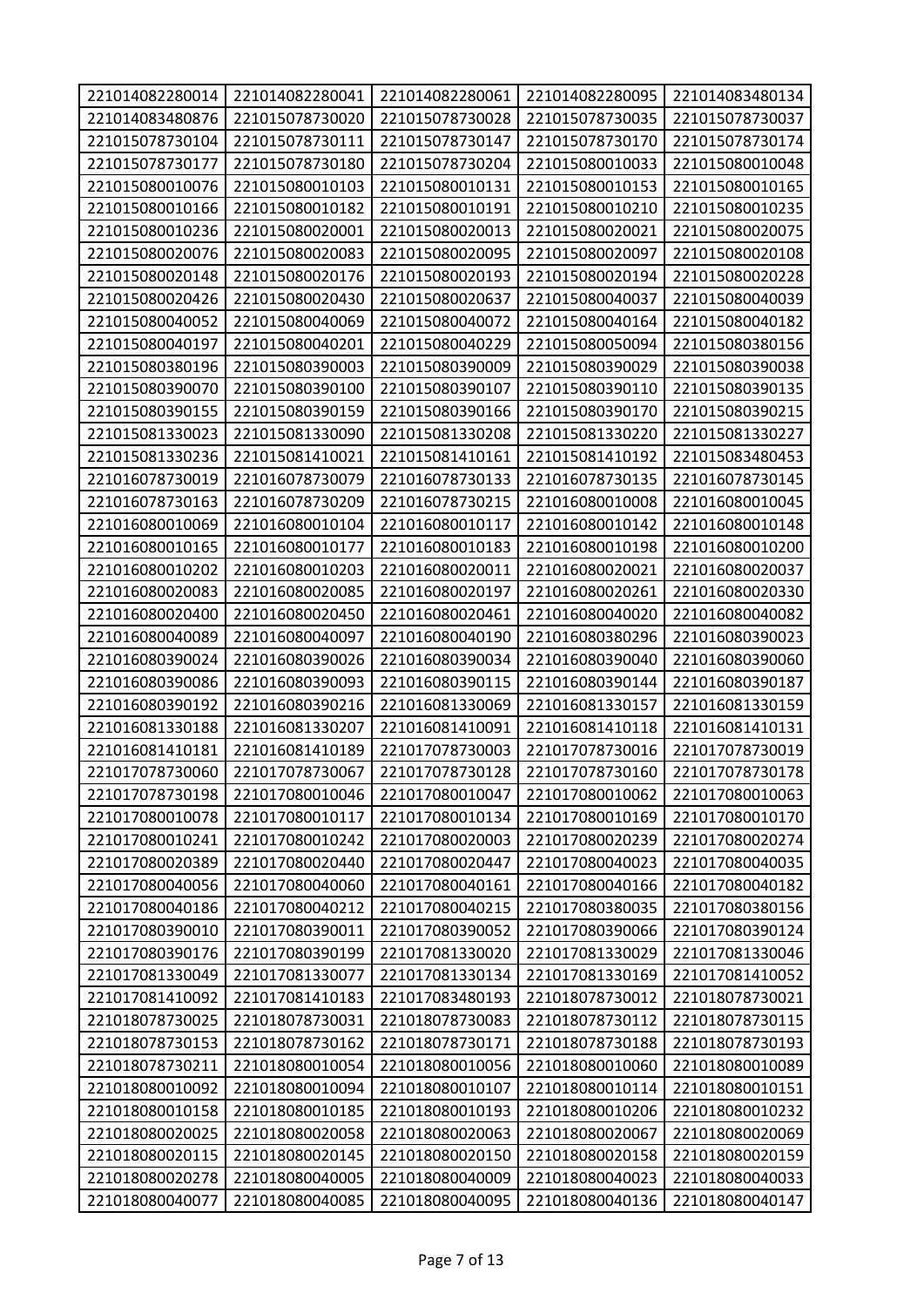| 221014082280014 | 221014082280041                    | 221014082280061                    | 221014082280095                    | 221014083480134                    |
|-----------------|------------------------------------|------------------------------------|------------------------------------|------------------------------------|
| 221014083480876 | 221015078730020                    | 221015078730028                    | 221015078730035                    | 221015078730037                    |
| 221015078730104 | 221015078730111                    | 221015078730147                    | 221015078730170                    | 221015078730174                    |
| 221015078730177 | 221015078730180                    | 221015078730204                    | 221015080010033                    | 221015080010048                    |
| 221015080010076 | 221015080010103                    | 221015080010131                    | 221015080010153                    | 221015080010165                    |
| 221015080010166 | 221015080010182                    | 221015080010191                    | 221015080010210                    | 221015080010235                    |
| 221015080010236 | 221015080020001                    | 221015080020013                    | 221015080020021                    | 221015080020075                    |
| 221015080020076 | 221015080020083                    | 221015080020095                    | 221015080020097                    | 221015080020108                    |
| 221015080020148 | 221015080020176                    | 221015080020193                    | 221015080020194                    | 221015080020228                    |
| 221015080020426 | 221015080020430                    | 221015080020637                    | 221015080040037                    | 221015080040039                    |
| 221015080040052 | 221015080040069                    | 221015080040072                    | 221015080040164                    | 221015080040182                    |
| 221015080040197 | 221015080040201                    | 221015080040229                    | 221015080050094                    | 221015080380156                    |
| 221015080380196 | 221015080390003                    | 221015080390009                    | 221015080390029                    | 221015080390038                    |
| 221015080390070 | 221015080390100                    | 221015080390107                    | 221015080390110                    | 221015080390135                    |
| 221015080390155 | 221015080390159                    | 221015080390166                    | 221015080390170                    | 221015080390215                    |
| 221015081330023 | 221015081330090                    | 221015081330208                    | 221015081330220                    | 221015081330227                    |
| 221015081330236 | 221015081410021                    | 221015081410161                    | 221015081410192                    | 221015083480453                    |
| 221016078730019 | 221016078730079                    | 221016078730133                    | 221016078730135                    | 221016078730145                    |
| 221016078730163 | 221016078730209                    | 221016078730215                    | 221016080010008                    | 221016080010045                    |
| 221016080010069 | 221016080010104                    | 221016080010117                    | 221016080010142                    | 221016080010148                    |
| 221016080010165 | 221016080010177                    | 221016080010183                    | 221016080010198                    | 221016080010200                    |
| 221016080010202 | 221016080010203                    | 221016080020011                    | 221016080020021                    | 221016080020037                    |
| 221016080020083 | 221016080020085                    | 221016080020197                    | 221016080020261                    | 221016080020330                    |
| 221016080020400 | 221016080020450                    | 221016080020461                    | 221016080040020                    | 221016080040082                    |
| 221016080040089 | 221016080040097                    | 221016080040190                    | 221016080380296                    | 221016080390023                    |
| 221016080390024 | 221016080390026                    | 221016080390034                    | 221016080390040                    | 221016080390060                    |
| 221016080390086 | 221016080390093                    | 221016080390115                    | 221016080390144                    | 221016080390187                    |
| 221016080390192 | 221016080390216                    | 221016081330069                    | 221016081330157                    | 221016081330159                    |
| 221016081330188 | 221016081330207                    | 221016081410091                    | 221016081410118                    | 221016081410131                    |
| 221016081410181 | 221016081410189                    | 221017078730003                    | 221017078730016                    | 221017078730019                    |
| 221017078730060 | 221017078730067                    | 221017078730128                    | 221017078730160                    | 221017078730178                    |
| 221017078730198 | 221017080010046                    | 221017080010047                    | 221017080010062                    | 221017080010063                    |
| 221017080010078 | 221017080010117                    | 221017080010134                    | 221017080010169                    | 221017080010170                    |
| 221017080010241 | 221017080010242                    | 221017080020003                    | 221017080020239                    | 221017080020274                    |
| 221017080020389 | 221017080020440                    | 221017080020447                    | 221017080040023                    | 221017080040035                    |
| 221017080040056 | 221017080040060                    | 221017080040161                    | 221017080040166                    | 221017080040182                    |
| 221017080040186 | 221017080040212                    | 221017080040215                    | 221017080380035                    | 221017080380156                    |
| 221017080390010 | 221017080390011                    | 221017080390052                    | 221017080390066                    | 221017080390124                    |
| 221017080390176 | 221017080390199                    | 221017081330020                    | 221017081330029                    | 221017081330046                    |
| 221017081330049 | 221017081330077                    | 221017081330134                    | 221017081330169                    | 221017081410052                    |
| 221017081410092 | 221017081410183                    | 221017083480193                    | 221018078730012                    | 221018078730021                    |
| 221018078730025 | 221018078730031                    | 221018078730083                    | 221018078730112                    | 221018078730115                    |
| 221018078730153 | 221018078730162                    | 221018078730171                    | 221018078730188                    | 221018078730193                    |
| 221018078730211 | 221018080010054                    | 221018080010056                    | 221018080010060                    | 221018080010089                    |
| 221018080010092 | 221018080010094                    | 221018080010107                    | 221018080010114                    | 221018080010151                    |
| 221018080010158 | 221018080010185                    | 221018080010193                    | 221018080010206                    | 221018080010232                    |
| 221018080020025 | 221018080020058                    | 221018080020063                    | 221018080020067                    | 221018080020069                    |
| 221018080020115 | 221018080020145                    | 221018080020150                    | 221018080020158                    | 221018080020159                    |
| 221018080020278 |                                    |                                    |                                    |                                    |
| 221018080040077 | 221018080040005<br>221018080040085 | 221018080040009<br>221018080040095 | 221018080040023<br>221018080040136 | 221018080040033<br>221018080040147 |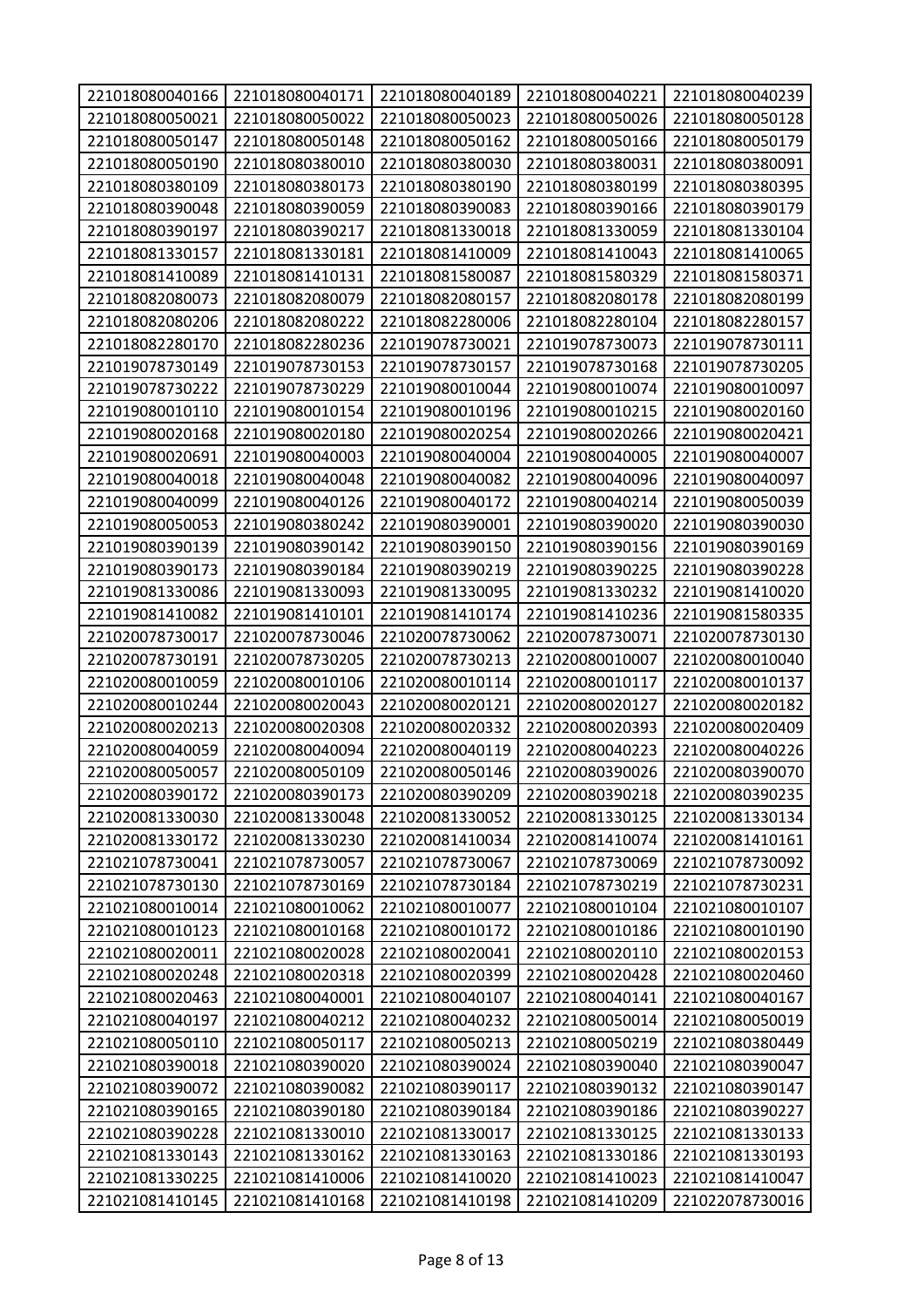| 221018080040166 | 221018080040171 | 221018080040189 | 221018080040221 | 221018080040239 |
|-----------------|-----------------|-----------------|-----------------|-----------------|
| 221018080050021 | 221018080050022 | 221018080050023 | 221018080050026 | 221018080050128 |
| 221018080050147 | 221018080050148 | 221018080050162 | 221018080050166 | 221018080050179 |
| 221018080050190 | 221018080380010 | 221018080380030 | 221018080380031 | 221018080380091 |
| 221018080380109 | 221018080380173 | 221018080380190 | 221018080380199 | 221018080380395 |
| 221018080390048 | 221018080390059 | 221018080390083 | 221018080390166 | 221018080390179 |
| 221018080390197 | 221018080390217 | 221018081330018 | 221018081330059 | 221018081330104 |
| 221018081330157 | 221018081330181 | 221018081410009 | 221018081410043 | 221018081410065 |
| 221018081410089 | 221018081410131 | 221018081580087 | 221018081580329 | 221018081580371 |
| 221018082080073 | 221018082080079 | 221018082080157 | 221018082080178 | 221018082080199 |
| 221018082080206 | 221018082080222 | 221018082280006 | 221018082280104 | 221018082280157 |
| 221018082280170 | 221018082280236 | 221019078730021 | 221019078730073 | 221019078730111 |
| 221019078730149 | 221019078730153 | 221019078730157 | 221019078730168 | 221019078730205 |
| 221019078730222 | 221019078730229 | 221019080010044 | 221019080010074 | 221019080010097 |
| 221019080010110 | 221019080010154 | 221019080010196 | 221019080010215 | 221019080020160 |
| 221019080020168 | 221019080020180 | 221019080020254 | 221019080020266 | 221019080020421 |
| 221019080020691 | 221019080040003 | 221019080040004 | 221019080040005 | 221019080040007 |
| 221019080040018 | 221019080040048 | 221019080040082 | 221019080040096 | 221019080040097 |
| 221019080040099 | 221019080040126 | 221019080040172 | 221019080040214 | 221019080050039 |
| 221019080050053 | 221019080380242 | 221019080390001 | 221019080390020 | 221019080390030 |
| 221019080390139 | 221019080390142 | 221019080390150 | 221019080390156 | 221019080390169 |
| 221019080390173 | 221019080390184 | 221019080390219 | 221019080390225 | 221019080390228 |
| 221019081330086 | 221019081330093 | 221019081330095 | 221019081330232 | 221019081410020 |
| 221019081410082 | 221019081410101 | 221019081410174 | 221019081410236 | 221019081580335 |
| 221020078730017 | 221020078730046 | 221020078730062 | 221020078730071 | 221020078730130 |
| 221020078730191 | 221020078730205 | 221020078730213 | 221020080010007 | 221020080010040 |
| 221020080010059 | 221020080010106 | 221020080010114 | 221020080010117 | 221020080010137 |
| 221020080010244 | 221020080020043 | 221020080020121 | 221020080020127 | 221020080020182 |
| 221020080020213 | 221020080020308 | 221020080020332 | 221020080020393 | 221020080020409 |
| 221020080040059 | 221020080040094 | 221020080040119 | 221020080040223 | 221020080040226 |
| 221020080050057 | 221020080050109 | 221020080050146 | 221020080390026 | 221020080390070 |
| 221020080390172 | 221020080390173 | 221020080390209 | 221020080390218 | 221020080390235 |
| 221020081330030 | 221020081330048 | 221020081330052 | 221020081330125 | 221020081330134 |
| 221020081330172 | 221020081330230 | 221020081410034 | 221020081410074 | 221020081410161 |
| 221021078730041 | 221021078730057 | 221021078730067 | 221021078730069 | 221021078730092 |
| 221021078730130 | 221021078730169 | 221021078730184 | 221021078730219 | 221021078730231 |
| 221021080010014 | 221021080010062 | 221021080010077 | 221021080010104 | 221021080010107 |
| 221021080010123 | 221021080010168 | 221021080010172 | 221021080010186 | 221021080010190 |
| 221021080020011 | 221021080020028 | 221021080020041 | 221021080020110 | 221021080020153 |
| 221021080020248 | 221021080020318 | 221021080020399 | 221021080020428 | 221021080020460 |
| 221021080020463 | 221021080040001 | 221021080040107 | 221021080040141 | 221021080040167 |
| 221021080040197 | 221021080040212 | 221021080040232 | 221021080050014 | 221021080050019 |
| 221021080050110 | 221021080050117 | 221021080050213 | 221021080050219 | 221021080380449 |
| 221021080390018 | 221021080390020 | 221021080390024 | 221021080390040 | 221021080390047 |
| 221021080390072 | 221021080390082 | 221021080390117 | 221021080390132 | 221021080390147 |
| 221021080390165 | 221021080390180 | 221021080390184 | 221021080390186 | 221021080390227 |
| 221021080390228 | 221021081330010 | 221021081330017 | 221021081330125 | 221021081330133 |
| 221021081330143 | 221021081330162 | 221021081330163 | 221021081330186 | 221021081330193 |
| 221021081330225 | 221021081410006 | 221021081410020 | 221021081410023 | 221021081410047 |
| 221021081410145 | 221021081410168 | 221021081410198 | 221021081410209 | 221022078730016 |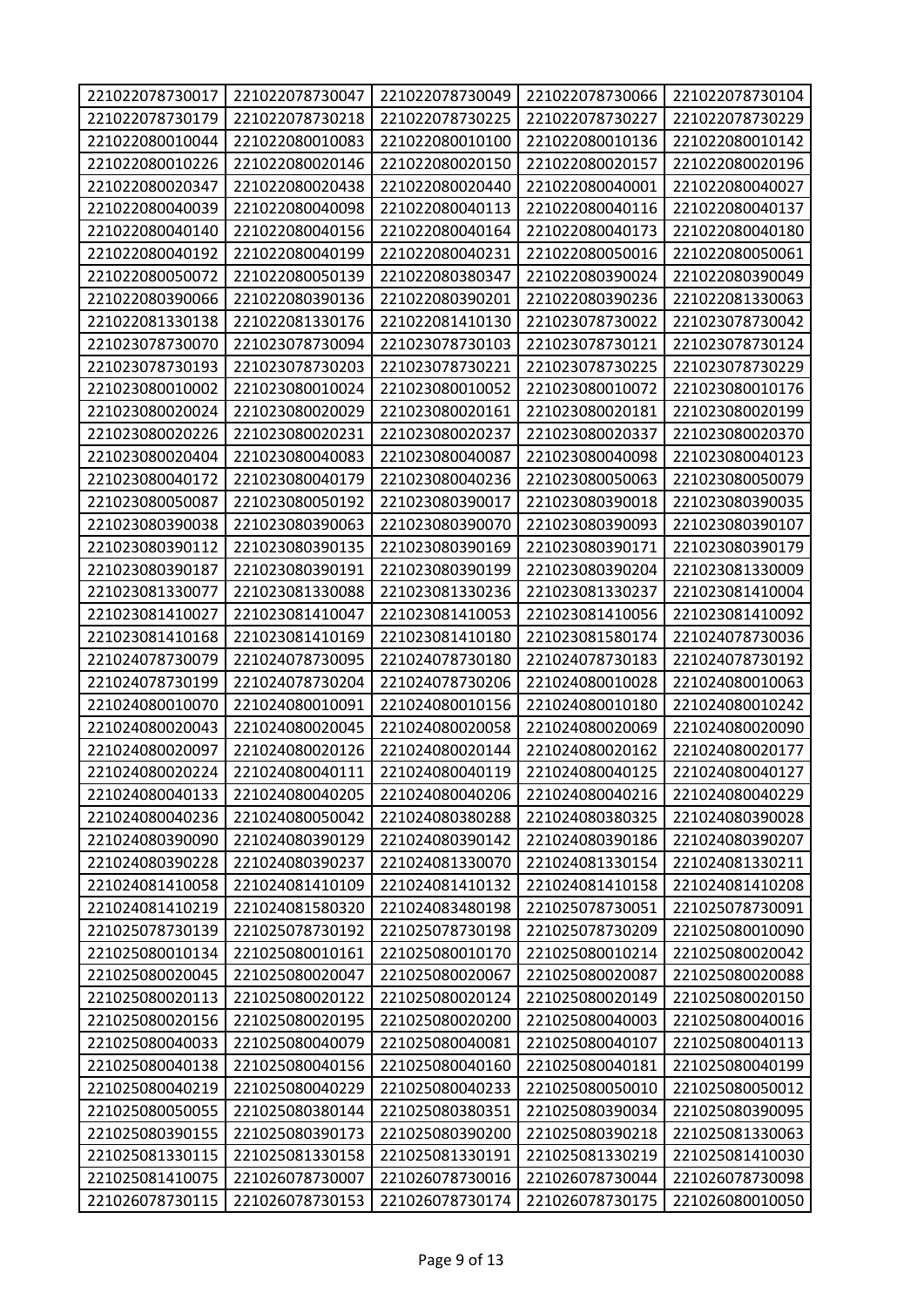| 221022078730017 | 221022078730047 | 221022078730049 | 221022078730066 | 221022078730104 |
|-----------------|-----------------|-----------------|-----------------|-----------------|
| 221022078730179 | 221022078730218 | 221022078730225 | 221022078730227 | 221022078730229 |
| 221022080010044 | 221022080010083 | 221022080010100 | 221022080010136 | 221022080010142 |
| 221022080010226 | 221022080020146 | 221022080020150 | 221022080020157 | 221022080020196 |
| 221022080020347 | 221022080020438 | 221022080020440 | 221022080040001 | 221022080040027 |
| 221022080040039 | 221022080040098 | 221022080040113 | 221022080040116 | 221022080040137 |
| 221022080040140 | 221022080040156 | 221022080040164 | 221022080040173 | 221022080040180 |
| 221022080040192 | 221022080040199 | 221022080040231 | 221022080050016 | 221022080050061 |
| 221022080050072 | 221022080050139 | 221022080380347 | 221022080390024 | 221022080390049 |
| 221022080390066 | 221022080390136 | 221022080390201 | 221022080390236 | 221022081330063 |
| 221022081330138 | 221022081330176 | 221022081410130 | 221023078730022 | 221023078730042 |
| 221023078730070 | 221023078730094 | 221023078730103 | 221023078730121 | 221023078730124 |
| 221023078730193 | 221023078730203 | 221023078730221 | 221023078730225 | 221023078730229 |
| 221023080010002 | 221023080010024 | 221023080010052 | 221023080010072 | 221023080010176 |
| 221023080020024 | 221023080020029 | 221023080020161 | 221023080020181 | 221023080020199 |
| 221023080020226 | 221023080020231 | 221023080020237 | 221023080020337 | 221023080020370 |
| 221023080020404 | 221023080040083 | 221023080040087 | 221023080040098 | 221023080040123 |
| 221023080040172 | 221023080040179 | 221023080040236 | 221023080050063 | 221023080050079 |
| 221023080050087 | 221023080050192 | 221023080390017 | 221023080390018 | 221023080390035 |
| 221023080390038 | 221023080390063 | 221023080390070 | 221023080390093 | 221023080390107 |
| 221023080390112 | 221023080390135 | 221023080390169 | 221023080390171 | 221023080390179 |
| 221023080390187 | 221023080390191 | 221023080390199 | 221023080390204 | 221023081330009 |
| 221023081330077 | 221023081330088 | 221023081330236 | 221023081330237 | 221023081410004 |
| 221023081410027 | 221023081410047 | 221023081410053 | 221023081410056 | 221023081410092 |
| 221023081410168 | 221023081410169 | 221023081410180 | 221023081580174 | 221024078730036 |
| 221024078730079 | 221024078730095 | 221024078730180 | 221024078730183 | 221024078730192 |
| 221024078730199 | 221024078730204 | 221024078730206 | 221024080010028 | 221024080010063 |
| 221024080010070 | 221024080010091 | 221024080010156 | 221024080010180 | 221024080010242 |
| 221024080020043 | 221024080020045 | 221024080020058 | 221024080020069 | 221024080020090 |
| 221024080020097 | 221024080020126 | 221024080020144 | 221024080020162 | 221024080020177 |
| 221024080020224 | 221024080040111 | 221024080040119 | 221024080040125 | 221024080040127 |
| 221024080040133 | 221024080040205 | 221024080040206 | 221024080040216 | 221024080040229 |
| 221024080040236 | 221024080050042 | 221024080380288 | 221024080380325 | 221024080390028 |
| 221024080390090 | 221024080390129 | 221024080390142 | 221024080390186 | 221024080390207 |
| 221024080390228 | 221024080390237 | 221024081330070 | 221024081330154 | 221024081330211 |
| 221024081410058 | 221024081410109 | 221024081410132 | 221024081410158 | 221024081410208 |
| 221024081410219 | 221024081580320 | 221024083480198 | 221025078730051 | 221025078730091 |
| 221025078730139 | 221025078730192 | 221025078730198 | 221025078730209 | 221025080010090 |
| 221025080010134 | 221025080010161 | 221025080010170 | 221025080010214 | 221025080020042 |
| 221025080020045 | 221025080020047 | 221025080020067 | 221025080020087 | 221025080020088 |
| 221025080020113 | 221025080020122 | 221025080020124 | 221025080020149 | 221025080020150 |
| 221025080020156 | 221025080020195 | 221025080020200 | 221025080040003 | 221025080040016 |
| 221025080040033 | 221025080040079 | 221025080040081 | 221025080040107 | 221025080040113 |
| 221025080040138 | 221025080040156 | 221025080040160 | 221025080040181 | 221025080040199 |
| 221025080040219 | 221025080040229 | 221025080040233 | 221025080050010 | 221025080050012 |
| 221025080050055 | 221025080380144 | 221025080380351 | 221025080390034 | 221025080390095 |
| 221025080390155 | 221025080390173 | 221025080390200 | 221025080390218 | 221025081330063 |
| 221025081330115 | 221025081330158 | 221025081330191 | 221025081330219 | 221025081410030 |
| 221025081410075 | 221026078730007 | 221026078730016 | 221026078730044 | 221026078730098 |
| 221026078730115 | 221026078730153 | 221026078730174 | 221026078730175 | 221026080010050 |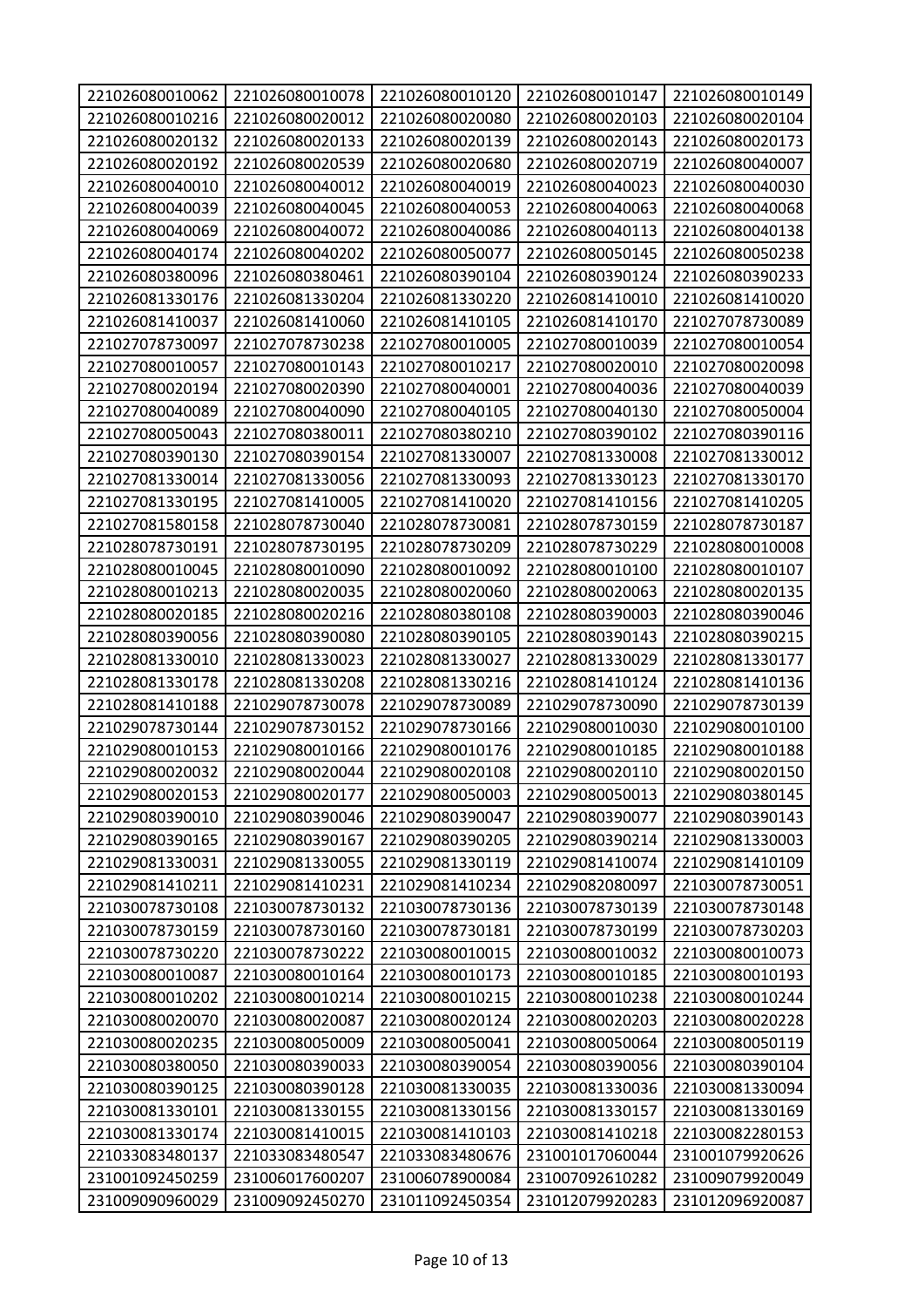| 221026080010062 | 221026080010078 | 221026080010120 | 221026080010147 | 221026080010149 |
|-----------------|-----------------|-----------------|-----------------|-----------------|
| 221026080010216 | 221026080020012 | 221026080020080 | 221026080020103 | 221026080020104 |
| 221026080020132 | 221026080020133 | 221026080020139 | 221026080020143 | 221026080020173 |
| 221026080020192 | 221026080020539 | 221026080020680 | 221026080020719 | 221026080040007 |
| 221026080040010 | 221026080040012 | 221026080040019 | 221026080040023 | 221026080040030 |
| 221026080040039 | 221026080040045 | 221026080040053 | 221026080040063 | 221026080040068 |
| 221026080040069 | 221026080040072 | 221026080040086 | 221026080040113 | 221026080040138 |
| 221026080040174 | 221026080040202 | 221026080050077 | 221026080050145 | 221026080050238 |
| 221026080380096 | 221026080380461 | 221026080390104 | 221026080390124 | 221026080390233 |
| 221026081330176 | 221026081330204 | 221026081330220 | 221026081410010 | 221026081410020 |
| 221026081410037 | 221026081410060 | 221026081410105 | 221026081410170 | 221027078730089 |
| 221027078730097 | 221027078730238 | 221027080010005 | 221027080010039 | 221027080010054 |
| 221027080010057 | 221027080010143 | 221027080010217 | 221027080020010 | 221027080020098 |
| 221027080020194 | 221027080020390 | 221027080040001 | 221027080040036 | 221027080040039 |
| 221027080040089 | 221027080040090 | 221027080040105 | 221027080040130 | 221027080050004 |
| 221027080050043 | 221027080380011 | 221027080380210 | 221027080390102 | 221027080390116 |
| 221027080390130 | 221027080390154 | 221027081330007 | 221027081330008 | 221027081330012 |
| 221027081330014 | 221027081330056 | 221027081330093 | 221027081330123 | 221027081330170 |
| 221027081330195 | 221027081410005 | 221027081410020 | 221027081410156 | 221027081410205 |
| 221027081580158 | 221028078730040 | 221028078730081 | 221028078730159 | 221028078730187 |
| 221028078730191 | 221028078730195 | 221028078730209 | 221028078730229 | 221028080010008 |
| 221028080010045 | 221028080010090 | 221028080010092 | 221028080010100 | 221028080010107 |
| 221028080010213 | 221028080020035 | 221028080020060 | 221028080020063 | 221028080020135 |
| 221028080020185 | 221028080020216 | 221028080380108 | 221028080390003 | 221028080390046 |
| 221028080390056 | 221028080390080 | 221028080390105 | 221028080390143 | 221028080390215 |
| 221028081330010 | 221028081330023 | 221028081330027 | 221028081330029 | 221028081330177 |
| 221028081330178 | 221028081330208 | 221028081330216 | 221028081410124 | 221028081410136 |
| 221028081410188 | 221029078730078 | 221029078730089 | 221029078730090 | 221029078730139 |
| 221029078730144 | 221029078730152 | 221029078730166 | 221029080010030 | 221029080010100 |
| 221029080010153 | 221029080010166 | 221029080010176 | 221029080010185 | 221029080010188 |
| 221029080020032 | 221029080020044 | 221029080020108 | 221029080020110 | 221029080020150 |
| 221029080020153 | 221029080020177 | 221029080050003 | 221029080050013 | 221029080380145 |
| 221029080390010 | 221029080390046 | 221029080390047 | 221029080390077 | 221029080390143 |
| 221029080390165 | 221029080390167 | 221029080390205 | 221029080390214 | 221029081330003 |
| 221029081330031 | 221029081330055 | 221029081330119 | 221029081410074 | 221029081410109 |
| 221029081410211 | 221029081410231 | 221029081410234 | 221029082080097 | 221030078730051 |
| 221030078730108 | 221030078730132 | 221030078730136 | 221030078730139 | 221030078730148 |
| 221030078730159 | 221030078730160 | 221030078730181 | 221030078730199 | 221030078730203 |
| 221030078730220 | 221030078730222 | 221030080010015 | 221030080010032 | 221030080010073 |
| 221030080010087 | 221030080010164 | 221030080010173 | 221030080010185 | 221030080010193 |
| 221030080010202 | 221030080010214 | 221030080010215 | 221030080010238 | 221030080010244 |
| 221030080020070 | 221030080020087 | 221030080020124 | 221030080020203 | 221030080020228 |
| 221030080020235 | 221030080050009 | 221030080050041 | 221030080050064 | 221030080050119 |
| 221030080380050 | 221030080390033 | 221030080390054 | 221030080390056 | 221030080390104 |
| 221030080390125 | 221030080390128 | 221030081330035 | 221030081330036 | 221030081330094 |
| 221030081330101 | 221030081330155 | 221030081330156 | 221030081330157 | 221030081330169 |
| 221030081330174 | 221030081410015 | 221030081410103 | 221030081410218 | 221030082280153 |
| 221033083480137 | 221033083480547 | 221033083480676 | 231001017060044 | 231001079920626 |
| 231001092450259 | 231006017600207 | 231006078900084 | 231007092610282 | 231009079920049 |
| 231009090960029 | 231009092450270 | 231011092450354 | 231012079920283 | 231012096920087 |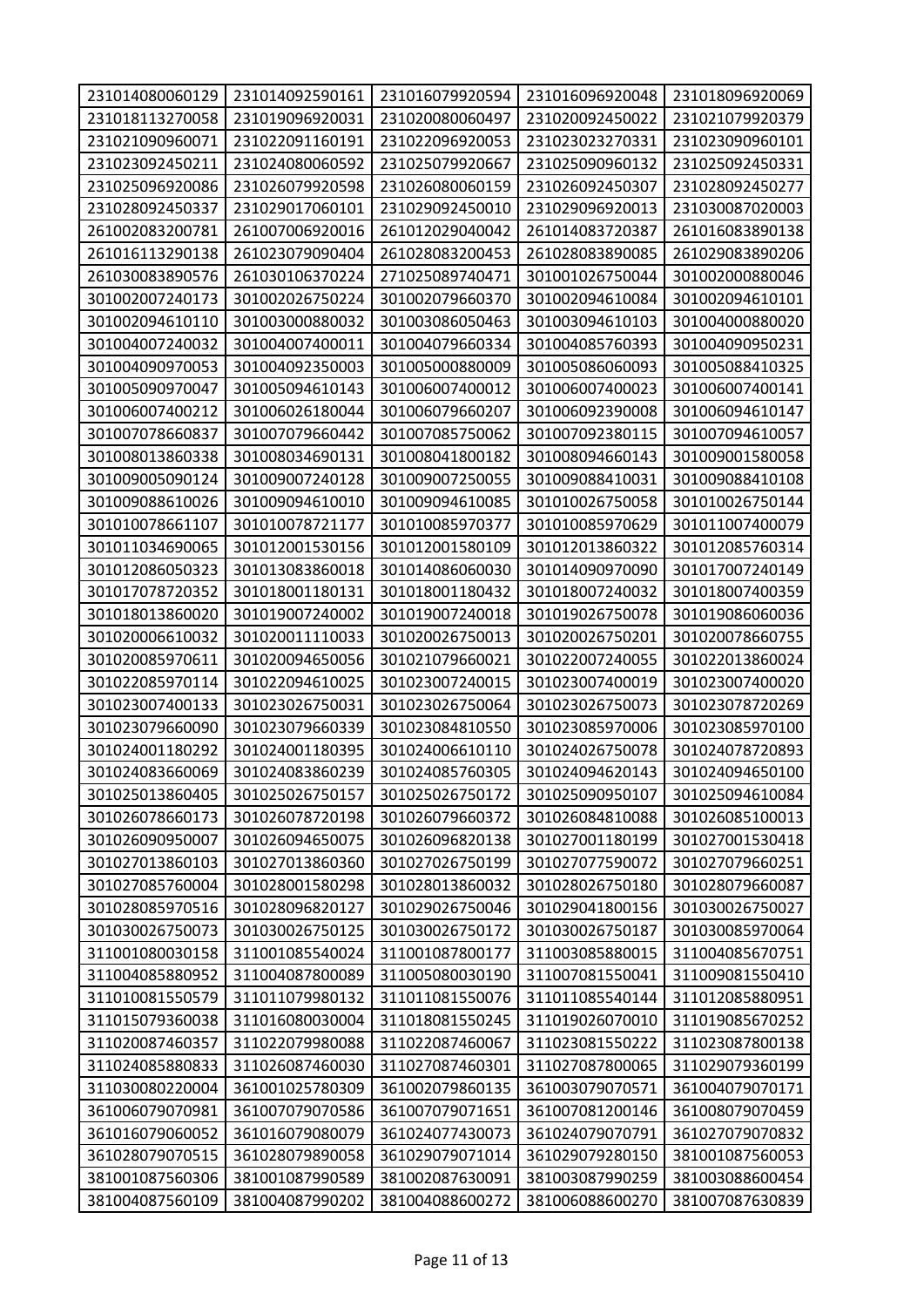| 231014080060129 | 231014092590161 | 231016079920594 | 231016096920048 | 231018096920069 |
|-----------------|-----------------|-----------------|-----------------|-----------------|
| 231018113270058 | 231019096920031 | 231020080060497 | 231020092450022 | 231021079920379 |
| 231021090960071 | 231022091160191 | 231022096920053 | 231023023270331 | 231023090960101 |
| 231023092450211 | 231024080060592 | 231025079920667 | 231025090960132 | 231025092450331 |
| 231025096920086 | 231026079920598 | 231026080060159 | 231026092450307 | 231028092450277 |
| 231028092450337 | 231029017060101 | 231029092450010 | 231029096920013 | 231030087020003 |
| 261002083200781 | 261007006920016 | 261012029040042 | 261014083720387 | 261016083890138 |
| 261016113290138 | 261023079090404 | 261028083200453 | 261028083890085 | 261029083890206 |
| 261030083890576 | 261030106370224 | 271025089740471 | 301001026750044 | 301002000880046 |
| 301002007240173 | 301002026750224 | 301002079660370 | 301002094610084 | 301002094610101 |
| 301002094610110 | 301003000880032 | 301003086050463 | 301003094610103 | 301004000880020 |
| 301004007240032 | 301004007400011 | 301004079660334 | 301004085760393 | 301004090950231 |
| 301004090970053 | 301004092350003 | 301005000880009 | 301005086060093 | 301005088410325 |
| 301005090970047 | 301005094610143 | 301006007400012 | 301006007400023 | 301006007400141 |
| 301006007400212 | 301006026180044 | 301006079660207 | 301006092390008 | 301006094610147 |
| 301007078660837 | 301007079660442 | 301007085750062 | 301007092380115 | 301007094610057 |
| 301008013860338 | 301008034690131 | 301008041800182 | 301008094660143 | 301009001580058 |
| 301009005090124 | 301009007240128 | 301009007250055 | 301009088410031 | 301009088410108 |
| 301009088610026 | 301009094610010 | 301009094610085 | 301010026750058 | 301010026750144 |
| 301010078661107 | 301010078721177 | 301010085970377 | 301010085970629 | 301011007400079 |
| 301011034690065 | 301012001530156 | 301012001580109 | 301012013860322 | 301012085760314 |
| 301012086050323 | 301013083860018 | 301014086060030 | 301014090970090 | 301017007240149 |
| 301017078720352 | 301018001180131 | 301018001180432 | 301018007240032 | 301018007400359 |
| 301018013860020 | 301019007240002 | 301019007240018 | 301019026750078 | 301019086060036 |
| 301020006610032 | 301020011110033 | 301020026750013 | 301020026750201 | 301020078660755 |
| 301020085970611 | 301020094650056 | 301021079660021 | 301022007240055 | 301022013860024 |
| 301022085970114 | 301022094610025 | 301023007240015 | 301023007400019 | 301023007400020 |
| 301023007400133 | 301023026750031 | 301023026750064 | 301023026750073 | 301023078720269 |
| 301023079660090 | 301023079660339 | 301023084810550 | 301023085970006 | 301023085970100 |
| 301024001180292 | 301024001180395 | 301024006610110 | 301024026750078 | 301024078720893 |
| 301024083660069 | 301024083860239 | 301024085760305 | 301024094620143 | 301024094650100 |
| 301025013860405 | 301025026750157 | 301025026750172 | 301025090950107 | 301025094610084 |
| 301026078660173 | 301026078720198 | 301026079660372 | 301026084810088 | 301026085100013 |
| 301026090950007 | 301026094650075 | 301026096820138 | 301027001180199 | 301027001530418 |
| 301027013860103 | 301027013860360 | 301027026750199 | 301027077590072 | 301027079660251 |
| 301027085760004 | 301028001580298 | 301028013860032 | 301028026750180 | 301028079660087 |
| 301028085970516 | 301028096820127 | 301029026750046 | 301029041800156 | 301030026750027 |
| 301030026750073 | 301030026750125 | 301030026750172 | 301030026750187 | 301030085970064 |
| 311001080030158 | 311001085540024 | 311001087800177 | 311003085880015 | 311004085670751 |
| 311004085880952 | 311004087800089 | 311005080030190 | 311007081550041 | 311009081550410 |
| 311010081550579 | 311011079980132 | 311011081550076 | 311011085540144 | 311012085880951 |
| 311015079360038 | 311016080030004 | 311018081550245 | 311019026070010 | 311019085670252 |
| 311020087460357 | 311022079980088 | 311022087460067 | 311023081550222 | 311023087800138 |
| 311024085880833 | 311026087460030 | 311027087460301 | 311027087800065 | 311029079360199 |
| 311030080220004 | 361001025780309 | 361002079860135 | 361003079070571 | 361004079070171 |
| 361006079070981 | 361007079070586 | 361007079071651 | 361007081200146 | 361008079070459 |
| 361016079060052 | 361016079080079 | 361024077430073 | 361024079070791 | 361027079070832 |
| 361028079070515 | 361028079890058 | 361029079071014 | 361029079280150 | 381001087560053 |
| 381001087560306 | 381001087990589 | 381002087630091 | 381003087990259 | 381003088600454 |
| 381004087560109 | 381004087990202 | 381004088600272 | 381006088600270 | 381007087630839 |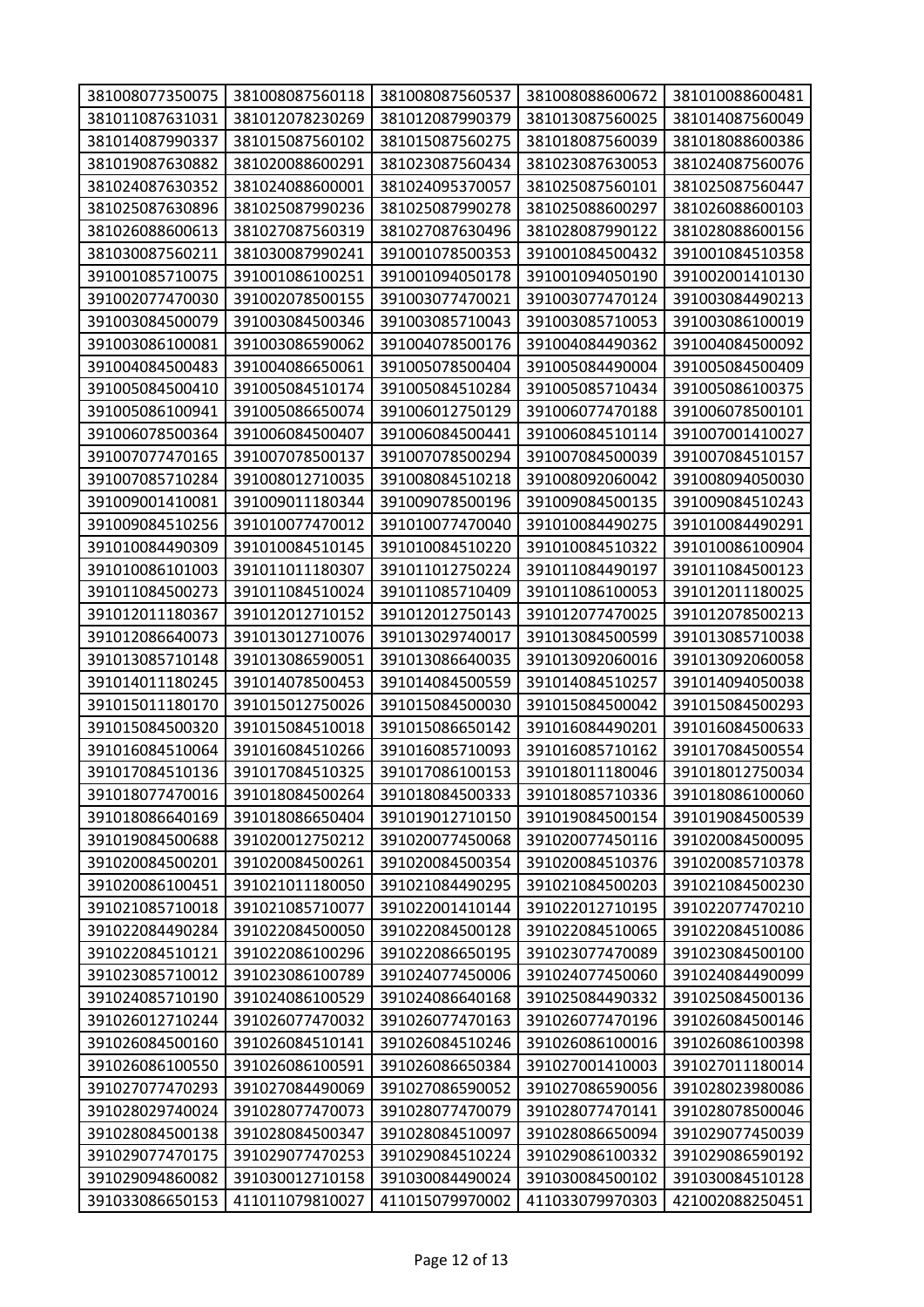| 381008077350075 | 381008087560118 | 381008087560537 | 381008088600672 | 381010088600481 |
|-----------------|-----------------|-----------------|-----------------|-----------------|
| 381011087631031 | 381012078230269 | 381012087990379 | 381013087560025 | 381014087560049 |
| 381014087990337 | 381015087560102 | 381015087560275 | 381018087560039 | 381018088600386 |
| 381019087630882 | 381020088600291 | 381023087560434 | 381023087630053 | 381024087560076 |
| 381024087630352 | 381024088600001 | 381024095370057 | 381025087560101 | 381025087560447 |
| 381025087630896 | 381025087990236 | 381025087990278 | 381025088600297 | 381026088600103 |
| 381026088600613 | 381027087560319 | 381027087630496 | 381028087990122 | 381028088600156 |
| 381030087560211 | 381030087990241 | 391001078500353 | 391001084500432 | 391001084510358 |
| 391001085710075 | 391001086100251 | 391001094050178 | 391001094050190 | 391002001410130 |
| 391002077470030 | 391002078500155 | 391003077470021 | 391003077470124 | 391003084490213 |
| 391003084500079 | 391003084500346 | 391003085710043 | 391003085710053 | 391003086100019 |
| 391003086100081 | 391003086590062 | 391004078500176 | 391004084490362 | 391004084500092 |
| 391004084500483 | 391004086650061 | 391005078500404 | 391005084490004 | 391005084500409 |
| 391005084500410 | 391005084510174 | 391005084510284 | 391005085710434 | 391005086100375 |
| 391005086100941 | 391005086650074 | 391006012750129 | 391006077470188 | 391006078500101 |
| 391006078500364 | 391006084500407 | 391006084500441 | 391006084510114 | 391007001410027 |
| 391007077470165 | 391007078500137 | 391007078500294 | 391007084500039 | 391007084510157 |
| 391007085710284 | 391008012710035 | 391008084510218 | 391008092060042 | 391008094050030 |
| 391009001410081 | 391009011180344 | 391009078500196 | 391009084500135 | 391009084510243 |
| 391009084510256 | 391010077470012 | 391010077470040 | 391010084490275 | 391010084490291 |
| 391010084490309 | 391010084510145 | 391010084510220 | 391010084510322 | 391010086100904 |
| 391010086101003 | 391011011180307 | 391011012750224 | 391011084490197 | 391011084500123 |
| 391011084500273 | 391011084510024 | 391011085710409 | 391011086100053 | 391012011180025 |
| 391012011180367 | 391012012710152 | 391012012750143 | 391012077470025 | 391012078500213 |
| 391012086640073 | 391013012710076 | 391013029740017 | 391013084500599 | 391013085710038 |
| 391013085710148 | 391013086590051 | 391013086640035 | 391013092060016 | 391013092060058 |
| 391014011180245 | 391014078500453 | 391014084500559 | 391014084510257 | 391014094050038 |
| 391015011180170 | 391015012750026 | 391015084500030 | 391015084500042 | 391015084500293 |
| 391015084500320 | 391015084510018 | 391015086650142 | 391016084490201 | 391016084500633 |
| 391016084510064 | 391016084510266 | 391016085710093 | 391016085710162 | 391017084500554 |
| 391017084510136 | 391017084510325 | 391017086100153 | 391018011180046 | 391018012750034 |
| 391018077470016 | 391018084500264 | 391018084500333 | 391018085710336 | 391018086100060 |
| 391018086640169 | 391018086650404 | 391019012710150 | 391019084500154 | 391019084500539 |
| 391019084500688 | 391020012750212 | 391020077450068 | 391020077450116 | 391020084500095 |
| 391020084500201 | 391020084500261 | 391020084500354 | 391020084510376 | 391020085710378 |
| 391020086100451 | 391021011180050 | 391021084490295 | 391021084500203 | 391021084500230 |
| 391021085710018 | 391021085710077 | 391022001410144 | 391022012710195 | 391022077470210 |
| 391022084490284 | 391022084500050 | 391022084500128 | 391022084510065 | 391022084510086 |
| 391022084510121 | 391022086100296 | 391022086650195 | 391023077470089 | 391023084500100 |
| 391023085710012 | 391023086100789 | 391024077450006 | 391024077450060 | 391024084490099 |
| 391024085710190 | 391024086100529 | 391024086640168 | 391025084490332 | 391025084500136 |
| 391026012710244 | 391026077470032 | 391026077470163 | 391026077470196 | 391026084500146 |
| 391026084500160 | 391026084510141 | 391026084510246 | 391026086100016 | 391026086100398 |
| 391026086100550 | 391026086100591 | 391026086650384 | 391027001410003 | 391027011180014 |
| 391027077470293 | 391027084490069 | 391027086590052 | 391027086590056 | 391028023980086 |
| 391028029740024 | 391028077470073 | 391028077470079 | 391028077470141 | 391028078500046 |
| 391028084500138 | 391028084500347 | 391028084510097 | 391028086650094 | 391029077450039 |
| 391029077470175 | 391029077470253 | 391029084510224 | 391029086100332 | 391029086590192 |
| 391029094860082 | 391030012710158 | 391030084490024 | 391030084500102 | 391030084510128 |
| 391033086650153 | 411011079810027 | 411015079970002 | 411033079970303 | 421002088250451 |